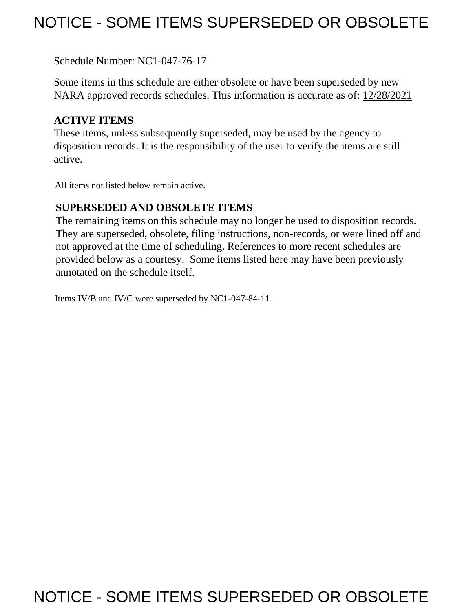# NOTICE - SOME ITEMS SUPERSEDED OR OBSOLETE

Schedule Number: NC1-047-76-17

 Some items in this schedule are either obsolete or have been superseded by new NARA approved records schedules. This information is accurate as of: 12/28/2021

# **ACTIVE ITEMS**

 These items, unless subsequently superseded, may be used by the agency to disposition records. It is the responsibility of the user to verify the items are still active.

All items not listed below remain active.

### **SUPERSEDED AND OBSOLETE ITEMS**

 The remaining items on this schedule may no longer be used to disposition records. not approved at the time of scheduling. References to more recent schedules are provided below as a courtesy. Some items listed here may have been previously They are superseded, obsolete, filing instructions, non-records, or were lined off and annotated on the schedule itself.

Items IV/B and IV/C were superseded by NC1-047-84-11.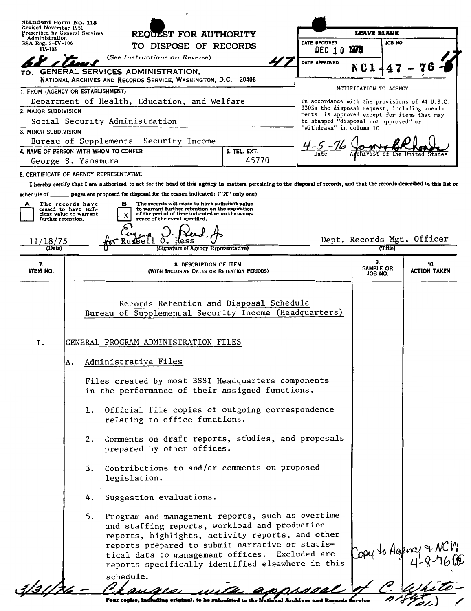| Standard Form No. 115                                                     |    |                                                                                                                                                                                                                                                       |                                                                                       |                        |         |                                                |
|---------------------------------------------------------------------------|----|-------------------------------------------------------------------------------------------------------------------------------------------------------------------------------------------------------------------------------------------------------|---------------------------------------------------------------------------------------|------------------------|---------|------------------------------------------------|
| Revised November 1951<br>Prescribed by General Services<br>Administration |    | REQUEST FOR AUTHORITY                                                                                                                                                                                                                                 |                                                                                       | <b>LEAVE BLANK</b>     |         |                                                |
| $GSA$ Reg. $3-IV-106$<br>115-103                                          |    | TO DISPOSE OF RECORDS                                                                                                                                                                                                                                 | DATE RECEIVED<br>DEC 10                                                               | 1975                   | JOB NO. |                                                |
|                                                                           |    | (See Instructions on Reverse)                                                                                                                                                                                                                         | DATE APPROVED                                                                         |                        |         |                                                |
| TO:                                                                       |    | GENERAL SERVICES ADMINISTRATION,                                                                                                                                                                                                                      |                                                                                       |                        |         |                                                |
|                                                                           |    | NATIONAL ARCHIVES AND RECORDS SERVICE, WASHINGTON, D.C. 20408                                                                                                                                                                                         |                                                                                       |                        |         |                                                |
| 1. FROM (AGENCY OR ESTABLISHMENT)                                         |    |                                                                                                                                                                                                                                                       |                                                                                       | NOTIFICATION TO AGENCY |         |                                                |
|                                                                           |    | Department of Health, Education, and Welfare                                                                                                                                                                                                          | 3303a the disposal request, including amend-                                          |                        |         | In accordance with the provisions of 44 U.S.C. |
| 2. MAJOR SUBDIVISION                                                      |    | Social Security Administration                                                                                                                                                                                                                        | ments, is approved except for items that may<br>be stamped "disposal not approved" or |                        |         |                                                |
| 3. MINOR SUBDIVISION                                                      |    |                                                                                                                                                                                                                                                       | "withdrawn" in column 10.                                                             |                        |         |                                                |
|                                                                           |    | Bureau of Supplemental Security Income                                                                                                                                                                                                                |                                                                                       |                        |         |                                                |
|                                                                           |    | 5. TEL. EXT.<br>4. NAME OF PERSON WITH WHOM TO CONFER                                                                                                                                                                                                 |                                                                                       |                        |         |                                                |
| George S. Yamamura                                                        |    | 45770                                                                                                                                                                                                                                                 |                                                                                       |                        |         |                                                |
|                                                                           |    | 6. CERTIFICATE OF AGENCY REPRESENTATIVE:                                                                                                                                                                                                              |                                                                                       |                        |         |                                                |
| schedule of __                                                            |    | I hereby certify that I am authorized to act for the head of this agency in matters pertaining to the disposal of records, and that the records described in this list or<br>pages are proposed for disposal for the reason indicated: ("X" only one) |                                                                                       |                        |         |                                                |
| The records have<br>А                                                     |    | The records will cease to have sufficient value<br>в                                                                                                                                                                                                  |                                                                                       |                        |         |                                                |
| ceased to have suffi-<br>cient value to warrant                           |    | to warrant further retention on the expiration<br>of the period of time indicated or on the occur-<br>X                                                                                                                                               |                                                                                       |                        |         |                                                |
| further retention.                                                        |    | rence of the event specified.                                                                                                                                                                                                                         |                                                                                       |                        |         |                                                |
| 1/18/75                                                                   |    |                                                                                                                                                                                                                                                       |                                                                                       |                        |         | Dept. Records Mgt. Officer                     |
| (Date)                                                                    |    | (Signature of Agency Representative)                                                                                                                                                                                                                  |                                                                                       |                        | (Title) |                                                |
| 7.<br><b>ITEM NO.</b>                                                     |    | 8. DESCRIPTION OF ITEM<br>(WITH INCLUSIVE DATES OR RETENTION PERIODS)                                                                                                                                                                                 |                                                                                       | 9.<br>SAMPLE OR        |         | 10.<br><b>ACTION TAKEN</b>                     |
|                                                                           |    |                                                                                                                                                                                                                                                       |                                                                                       | JOB NO.                |         |                                                |
| I.                                                                        |    | Records Retention and Disposal Schedule<br>Bureau of Supplemental Security Income (Headquarters)<br>GENERAL PROGRAM ADMINISTRATION FILES                                                                                                              |                                                                                       |                        |         |                                                |
|                                                                           | А. | Administrative Files                                                                                                                                                                                                                                  |                                                                                       |                        |         |                                                |
|                                                                           |    | Files created by most BSSI Headquarters components<br>in the performance of their assigned functions.                                                                                                                                                 |                                                                                       |                        |         |                                                |
|                                                                           |    | Official file copies of outgoing correspondence<br>1.<br>relating to office functions.                                                                                                                                                                |                                                                                       |                        |         |                                                |
|                                                                           |    | Comments on draft reports, studies, and proposals<br>2.<br>prepared by other offices.                                                                                                                                                                 |                                                                                       |                        |         |                                                |
|                                                                           |    | Contributions to and/or comments on proposed<br>3.<br>legislation.                                                                                                                                                                                    |                                                                                       |                        |         |                                                |
|                                                                           |    | Suggestion evaluations.<br>4.                                                                                                                                                                                                                         |                                                                                       |                        |         |                                                |
|                                                                           |    | Program and management reports, such as overtime<br>5.<br>and staffing reports, workload and production<br>reports, highlights, activity reports, and other                                                                                           |                                                                                       |                        |         |                                                |
|                                                                           |    | reports prepared to submit narrative or statis-<br>tical data to management offices. Excluded are<br>reports specifically identified elsewhere in this                                                                                                |                                                                                       | Copy to Agency         |         |                                                |
|                                                                           |    | schedule.                                                                                                                                                                                                                                             |                                                                                       |                        |         |                                                |

╱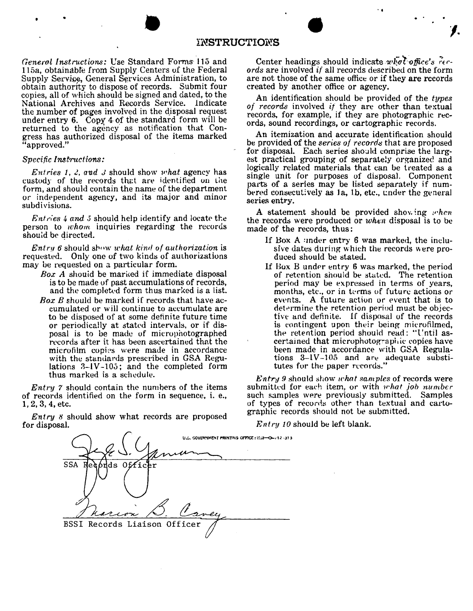# ENSTRUCTIONS **INSTRUCTIONS**

*General Instructions:* Use Standard Forms 115 and 115a, obtainable from Supply Centers of the Federal Supply Service, General Services Administration, to obtain authority to dispose of records. Submit four copies, all of which should be signed and dated, to the National Archives and Records Service. lndicate the number of pages involved in the disposal request under entry  $6.$  Copy  $4$  of the standard form will be returned to the agency as notification that Congress has authorized disposal of the items marked "approved."

#### *Specific Instructions:*

*Entries 1, 2, and 3 should show what agency has* custody of the records that are identified on the form, and should contain the name of the department or independent agency, and its major and minor subdivisions.

*Entries 4 and 5* should help identify and locate the person to whom inquiries regarding the records should be directed.

 $Entry 6$  should show what kind of authorization is requested. Only one of two kinds of authorizations may be requested on a particular form.

- Box A should be marked if immediate disposal is to be made of past accumulations of records, and the completed form thus marked is a list.
- *Box B* should be marked if records that have accumulated or will continue to accumulate are to be disposed of at some definite future time or periodically at stated intervals, or if disposal is to be made of microphotographed records after it has been ascertained that the microfilm copies were made in accordance with the standards prescribed in GSA Regulations  $3-\frac{1}{\sqrt{3}}$ ; and the completed form thus marked is a schedule.

*Entry* 7 should contain the numbers of the items of records identified on the form in sequence, i. e., 1, 2, 3, 4, etc.

*Entry* 8 should show what records are proposed for disposal.

Center headings should indicate whot office's rec*ords* are involved if all records described on the form are not those of the same office or if they are records created by another office or agency.

,.

An identification should be provided of the *types of records* involved if they are other than textual records, for example, if they are photographic records, sound recordings, or cartographic records.

An itemization and accurate identification should be provided of the *series of records* that are proposed for disposal. Each series should comprise the largest practical grouping of separately organized and logically related materials that can be treated as a single unit for purposes of disposal. Component parts of a series may be listed separately if numbered consecutively as  $1a$ ,  $1b$ , etc., under the general series entry.

A statement should be provided showing  $when$ the records were produced or *when* disposal is to be made of the records, thus:

- If Box A :mder entry 6 was marked, the inclusive dates during which the records were produced should be stated.
- If Box B under entry  $6$  was marked, the period of retention should be stuted. The retention period may be expressed in terms of years, months, etc., or in terms of future actions or ewnts. A future action or event that is to determine the retention period must be objective and definite. If disposal of the records is contingent upon their being microfilmed, the retention period should read: "l'ntil ascertained that microphotographic copies have been made in accordance with GSA Regulations  $3-1V-105$  and are adequate substitutes for the paper records."

*Entry 9* should show *ichat samples* of records were submitted for each item, or with *what job number*  such samples were previously submitted. Samples of types of records other than textual and cartographic records should not be submitted.

*Entry 10* should be left blank.

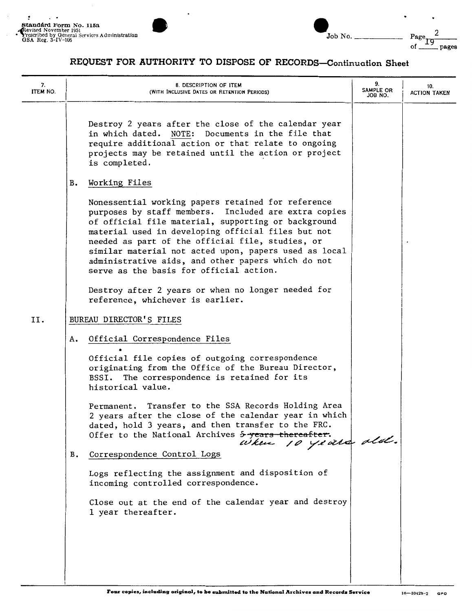

| Standard Form No. 115a<br>Revised November 1951<br>Prescribed by General Services Administration<br>GSA Reg. $3-\text{IV}-106$ | Job No. | Page.<br>Οf | pages |
|--------------------------------------------------------------------------------------------------------------------------------|---------|-------------|-------|
|                                                                                                                                |         |             |       |

| 7.<br>ITEM NO. | 8. DESCRIPTION OF ITEM<br>(WITH INCLUSIVE DATES OR RETENTION PERIODS)                                                                                                                                                                                                                                                                                                                                                                 | 9.<br>SAMPLE OR<br>JOB NO. | 10.<br><b>ACTION TAKEN</b> |
|----------------|---------------------------------------------------------------------------------------------------------------------------------------------------------------------------------------------------------------------------------------------------------------------------------------------------------------------------------------------------------------------------------------------------------------------------------------|----------------------------|----------------------------|
|                | Destroy 2 years after the close of the calendar year<br>Documents in the file that<br>NOTE:<br>in which dated.<br>require additional action or that relate to ongoing<br>projects may be retained until the action or project<br>is completed.                                                                                                                                                                                        |                            |                            |
|                | Working Files<br>в.                                                                                                                                                                                                                                                                                                                                                                                                                   |                            |                            |
|                | Nonessential working papers retained for reference<br>purposes by staff members. Included are extra copies<br>of official file material, supporting or background<br>material used in developing official files but not<br>needed as part of the official file, studies, or<br>similar material not acted upon, papers used as local<br>administrative aids, and other papers which do not<br>serve as the basis for official action. |                            |                            |
|                | Destroy after 2 years or when no longer needed for<br>reference, whichever is earlier.                                                                                                                                                                                                                                                                                                                                                |                            |                            |
| II.            | BUREAU DIRECTOR'S FILES                                                                                                                                                                                                                                                                                                                                                                                                               |                            |                            |
|                | Official Correspondence Files<br>А.                                                                                                                                                                                                                                                                                                                                                                                                   |                            |                            |
|                | Official file copies of outgoing correspondence<br>originating from the Office of the Bureau Director,<br>BSSI. The correspondence is retained for its<br>historical value.                                                                                                                                                                                                                                                           |                            |                            |
|                | Permanent. Transfer to the SSA Records Holding Area<br>2 years after the close of the calendar year in which<br>dated, hold 3 years, and then transfer to the FRC.<br>Offer to the National Archives 5-years-thereafter.<br>when 10 years ald.                                                                                                                                                                                        |                            |                            |
|                | Correspondence Control Logs<br>в.                                                                                                                                                                                                                                                                                                                                                                                                     |                            |                            |
|                | Logs reflecting the assignment and disposition of<br>incoming controlled correspondence.                                                                                                                                                                                                                                                                                                                                              |                            |                            |
|                | Close out at the end of the calendar year and destroy<br>1 year thereafter.                                                                                                                                                                                                                                                                                                                                                           |                            |                            |
|                |                                                                                                                                                                                                                                                                                                                                                                                                                                       |                            |                            |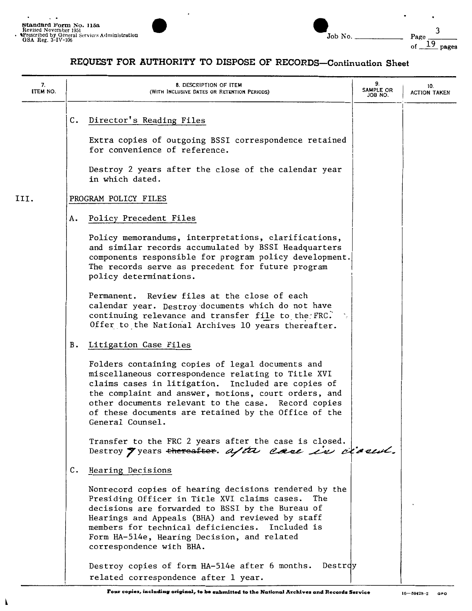

| . .<br>Standard Form No. 115a<br>Revised November 1951<br><b>APrescribed by General Services Administration</b><br>GSA Reg. $3-\text{IV}-106$ |  | Job No. | Page |       |
|-----------------------------------------------------------------------------------------------------------------------------------------------|--|---------|------|-------|
|                                                                                                                                               |  |         | Οf   | pages |

| 7.<br>ITEM NO. | 8. DESCRIPTION OF ITEM<br>(WITH INCLUSIVE DATES OR RETENTION PERIODS)                                                                                                                                                                                                                                                                                   | 9.<br>SAMPLE OR<br>JOB NO. | 10.<br><b>ACTION TAKEN</b> |
|----------------|---------------------------------------------------------------------------------------------------------------------------------------------------------------------------------------------------------------------------------------------------------------------------------------------------------------------------------------------------------|----------------------------|----------------------------|
|                | Director's Reading Files<br>C.                                                                                                                                                                                                                                                                                                                          |                            |                            |
|                | Extra copies of outgoing BSSI correspondence retained<br>for convenience of reference.                                                                                                                                                                                                                                                                  |                            |                            |
|                | Destroy 2 years after the close of the calendar year<br>in which dated.                                                                                                                                                                                                                                                                                 |                            |                            |
| III.           | PROGRAM POLICY FILES                                                                                                                                                                                                                                                                                                                                    |                            |                            |
|                | Policy Precedent Files<br>А.                                                                                                                                                                                                                                                                                                                            |                            |                            |
|                | Policy memorandums, interpretations, clarifications,<br>and similar records accumulated by BSSI Headquarters<br>components responsible for program policy development.<br>The records serve as precedent for future program<br>policy determinations.                                                                                                   |                            |                            |
|                | Permanent. Review files at the close of each<br>calendar year. Destroy documents which do not have<br>continuing relevance and transfer file to the FRC.<br>Offer to the National Archives 10 years thereafter.                                                                                                                                         |                            |                            |
|                | Litigation Case Files<br>В.                                                                                                                                                                                                                                                                                                                             |                            |                            |
|                | Folders containing copies of legal documents and<br>miscellaneous correspondence relating to Title XVI<br>claims cases in litigation. Included are copies of<br>the complaint and answer, motions, court orders, and<br>other documents relevant to the case. Record copies<br>of these documents are retained by the Office of the<br>General Counsel. |                            |                            |
|                | Transfer to the FRC 2 years after the case is closed.<br>Destroy 7 years thereafter. after case in classich.                                                                                                                                                                                                                                            |                            |                            |
|                | C.<br>Hearing Decisions                                                                                                                                                                                                                                                                                                                                 |                            |                            |
|                | Nonrecord copies of hearing decisions rendered by the<br>Presiding Officer in Title XVI claims cases.<br>The<br>decisions are forwarded to BSSI by the Bureau of<br>Hearings and Appeals (BHA) and reviewed by staff<br>members for technical deficiencies. Included is<br>Form HA-514e, Hearing Decision, and related<br>correspondence with BHA.      |                            |                            |
|                | Destrdy<br>Destroy copies of form HA-514e after 6 months.<br>related correspondence after 1 year.                                                                                                                                                                                                                                                       |                            |                            |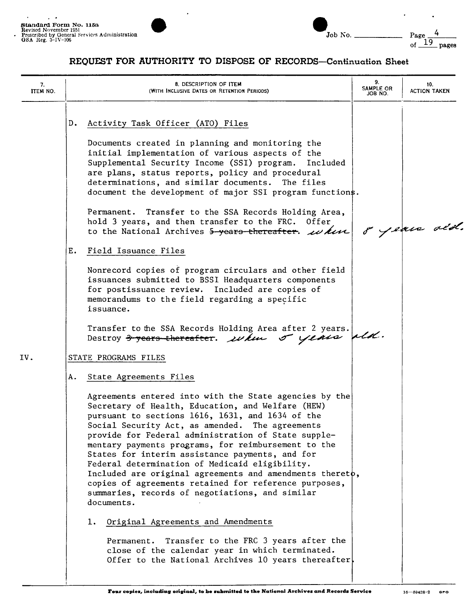

 $\cdot$ 

 $\ddot{\phantom{0}}$ 

| 7.<br>ITEM NO. | 8. DESCRIPTION OF ITEM<br>(WITH INCLUSIVE DATES OR RETENTION PERIODS)                                                                                                                                                                                                                                                                                                                                                                                                                                                                                                                                                                                                                                                                                                                                                                                                                                                                                      | 9.<br>SAMPLE OR<br>JOB NO. | 10.<br><b>ACTION TAKEN</b> |
|----------------|------------------------------------------------------------------------------------------------------------------------------------------------------------------------------------------------------------------------------------------------------------------------------------------------------------------------------------------------------------------------------------------------------------------------------------------------------------------------------------------------------------------------------------------------------------------------------------------------------------------------------------------------------------------------------------------------------------------------------------------------------------------------------------------------------------------------------------------------------------------------------------------------------------------------------------------------------------|----------------------------|----------------------------|
|                | Activity Task Officer (ATO) Files<br>$D_{\bullet}$<br>Documents created in planning and monitoring the<br>initial implementation of various aspects of the<br>Supplemental Security Income (SSI) program.<br>Included<br>are plans, status reports, policy and procedural<br>determinations, and similar documents. The files<br>document the development of major SSI program functions.<br>Permanent. Transfer to the SSA Records Holding Area,<br>hold 3 years, and then transfer to the FRC. Offer<br>to the National Archives 5-years-thereafter. $\omega$ kin<br>Ε.<br>Field Issuance Files<br>Nonrecord copies of program circulars and other field<br>issuances submitted to BSSI Headquarters components<br>for postissuance review. Included are copies of<br>memorandums to the field regarding a specific<br>issuance.<br>Transfer to the SSA Records Holding Area after 2 years.<br>Destroy <del>3 years thereafter</del> . when o years ald. |                            | 8 years ald.               |
| IV.            | STATE PROGRAMS FILES<br>A. State Agreements Files<br>Agreements entered into with the State agencies by the<br>Secretary of Health, Education, and Welfare (HEW)<br>pursuant to sections 1616, 1631, and 1634 of the<br>Social Security Act, as amended. The agreements<br>provide for Federal administration of State supple-<br>mentary payments programs, for reimbursement to the<br>States for interim assistance payments, and for<br>Federal determination of Medicaid eligibility.<br>Included are original agreements and amendments theret $\phi$ ,<br>copies of agreements retained for reference purposes,<br>summaries, records of negotiations, and similar<br>documents.<br>Original Agreements and Amendments<br>ı.<br>Transfer to the FRC 3 years after the<br>Permanent.<br>close of the calendar year in which terminated.<br>Offer to the National Archives 10 years thereafter.                                                       |                            |                            |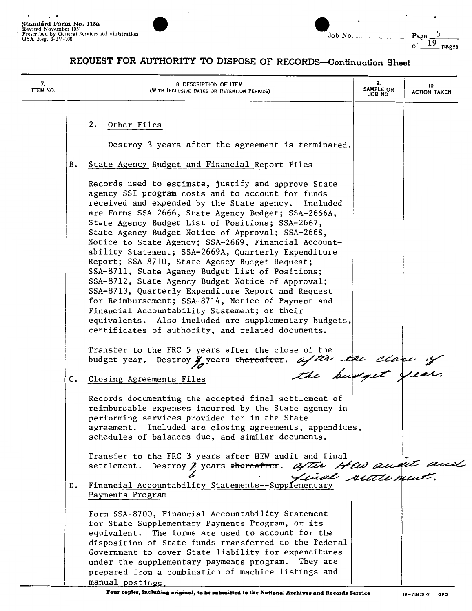

| Job No. |  |
|---------|--|

 $r_{\text{age}}$   $\frac{19}{19}$  pages

| 7.<br>ITEM NO. | 8. DESCRIPTION OF ITEM<br>(WITH INCLUSIVE DATES OR RETENTION PERIODS)                                                                                                                                                                                                                                                                                                                                                                                                                                                                                                                                                                                                                                                                                                                                                                                                                                                                     | 9.<br>SAMPLE OR<br>JOB NO. | 10.<br>ACTION TAKEN |
|----------------|-------------------------------------------------------------------------------------------------------------------------------------------------------------------------------------------------------------------------------------------------------------------------------------------------------------------------------------------------------------------------------------------------------------------------------------------------------------------------------------------------------------------------------------------------------------------------------------------------------------------------------------------------------------------------------------------------------------------------------------------------------------------------------------------------------------------------------------------------------------------------------------------------------------------------------------------|----------------------------|---------------------|
|                | 2.<br>Other Files<br>Destroy 3 years after the agreement is terminated.                                                                                                                                                                                                                                                                                                                                                                                                                                                                                                                                                                                                                                                                                                                                                                                                                                                                   |                            |                     |
|                | в.<br>State Agency Budget and Financial Report Files                                                                                                                                                                                                                                                                                                                                                                                                                                                                                                                                                                                                                                                                                                                                                                                                                                                                                      |                            |                     |
|                | Records used to estimate, justify and approve State<br>agency SSI program costs and to account for funds<br>received and expended by the State agency. Included<br>are Forms SSA-2666, State Agency Budget; SSA-2666A,<br>State Agency Budget List of Positions; SSA-2667,<br>State Agency Budget Notice of Approval; SSA-2668,<br>Notice to State Agency; SSA-2669, Financial Account-<br>ability Statement; SSA-2669A, Quarterly Expenditure<br>Report; SSA-8710, State Agency Budget Request;<br>SSA-8711, State Agency Budget List of Positions;<br>SSA-8712, State Agency Budget Notice of Approval;<br>SSA-8713, Quarterly Expenditure Report and Request<br>for Reimbursement; SSA-8714, Notice of Payment and<br>Financial Accountability Statement; or their<br>equivalents. Also included are supplementary budgets,<br>certificates of authority, and related documents.<br>Transfer to the FRC 5 years after the close of the |                            |                     |
|                | budget year. Destroy y years thereafter. after the close of<br>C. Closing Agreements Files                                                                                                                                                                                                                                                                                                                                                                                                                                                                                                                                                                                                                                                                                                                                                                                                                                                |                            |                     |
|                | Records documenting the accepted final settlement of<br>reimbursable expenses incurred by the State agency in<br>performing services provided for in the State<br>agreement. Included are closing agreements, appendices,<br>schedules of balances due, and similar documents.                                                                                                                                                                                                                                                                                                                                                                                                                                                                                                                                                                                                                                                            |                            |                     |
|                | Transfer to the FRC 3 years after HEW audit and final<br>Destroy J years thereafter. after Hew aussite and<br>settlement.                                                                                                                                                                                                                                                                                                                                                                                                                                                                                                                                                                                                                                                                                                                                                                                                                 |                            |                     |
|                | Financial Accountability Statements--Supplementary<br>D.<br>Payments Program                                                                                                                                                                                                                                                                                                                                                                                                                                                                                                                                                                                                                                                                                                                                                                                                                                                              |                            |                     |
|                | Form SSA-8700, Financial Accountability Statement<br>for State Supplementary Payments Program, or its<br>equivalent. The forms are used to account for the<br>disposition of State funds transferred to the Federal<br>Government to cover State liability for expenditures<br>under the supplementary payments program. They are<br>prepared from a combination of machine listings and<br>manual postings.                                                                                                                                                                                                                                                                                                                                                                                                                                                                                                                              |                            |                     |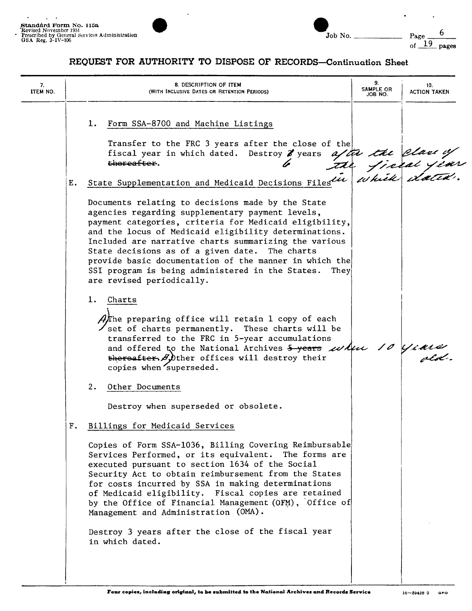

| Standård Form No. 115a<br>Revised November 1951<br>Prescribed by General Services Administration<br>GSA Reg. 3-1V-106 | Job No. | $P_{\text{acc}}$ |
|-----------------------------------------------------------------------------------------------------------------------|---------|------------------|
|                                                                                                                       |         | pages            |

| 7.<br><b>ITEM NO.</b> | 8. DESCRIPTION OF ITEM<br>(WITH INCLUSIVE DATES OR RETENTION PERIODS)                                                                                                                                                                                                                                                                                                                                                                                                                                                                                                                                                                                                                                                                                                                                                     | 9.<br>SAMPLE OR<br>JOB NO. | 10.<br><b>ACTION TAKEN</b> |
|-----------------------|---------------------------------------------------------------------------------------------------------------------------------------------------------------------------------------------------------------------------------------------------------------------------------------------------------------------------------------------------------------------------------------------------------------------------------------------------------------------------------------------------------------------------------------------------------------------------------------------------------------------------------------------------------------------------------------------------------------------------------------------------------------------------------------------------------------------------|----------------------------|----------------------------|
|                       | 1. Form SSA-8700 and Machine Listings<br>Transfer to the FRC 3 years after the close of the<br>fiscal year in which dated. Destroy 8 years after the class of the contract the supplementation and Medicaid Decisions Filestin which chatter.                                                                                                                                                                                                                                                                                                                                                                                                                                                                                                                                                                             |                            |                            |
| Ε.                    |                                                                                                                                                                                                                                                                                                                                                                                                                                                                                                                                                                                                                                                                                                                                                                                                                           |                            |                            |
|                       | Documents relating to decisions made by the State<br>agencies regarding supplementary payment levels,<br>payment categories, criteria for Medicaid eligibility,<br>and the locus of Medicaid eligibility determinations.<br>Included are narrative charts summarizing the various<br>State decisions as of a given date. The charts<br>provide basic documentation of the manner in which the<br>SSI program is being administered in the States. They<br>are revised periodically.<br>1.<br>Charts<br>Afthe preparing office will retain 1 copy of each<br>$\angle$ set of charts permanently. These charts will be<br>transferred to the FRC in 5-year accumulations<br>and offered to the National Archives 5-years where 10 years<br>thereafter, $\beta$ , ther offices will destroy their<br>copies when superseded. |                            |                            |
|                       | 2.<br>Other Documents                                                                                                                                                                                                                                                                                                                                                                                                                                                                                                                                                                                                                                                                                                                                                                                                     |                            |                            |
|                       | Destroy when superseded or obsolete.                                                                                                                                                                                                                                                                                                                                                                                                                                                                                                                                                                                                                                                                                                                                                                                      |                            |                            |
| F.                    | Billings for Medicaid Services                                                                                                                                                                                                                                                                                                                                                                                                                                                                                                                                                                                                                                                                                                                                                                                            |                            |                            |
|                       | Copies of Form SSA-1036, Billing Covering Reimbursable<br>Services Performed, or its equivalent. The forms are<br>executed pursuant to section 1634 of the Social<br>Security Act to obtain reimbursement from the States<br>for costs incurred by SSA in making determinations<br>of Medicaid eligibility. Fiscal copies are retained<br>by the Office of Financial Management (OFM), Office of<br>Management and Administration (OMA).                                                                                                                                                                                                                                                                                                                                                                                  |                            |                            |
|                       | Destroy 3 years after the close of the fiscal year<br>in which dated.                                                                                                                                                                                                                                                                                                                                                                                                                                                                                                                                                                                                                                                                                                                                                     |                            |                            |
|                       |                                                                                                                                                                                                                                                                                                                                                                                                                                                                                                                                                                                                                                                                                                                                                                                                                           |                            |                            |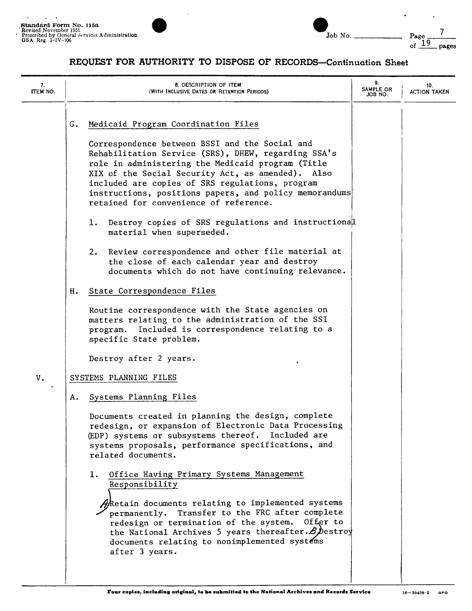I



| Standard Form No. 115a<br>Revised November 1951                          |            |                   |
|--------------------------------------------------------------------------|------------|-------------------|
| Prescribed by General Services Administration<br>GSA Reg. $3 - IV - 106$ | No.<br>Job | Page              |
|                                                                          |            | <u>.</u><br>pages |

| 7.<br>ITEM NO. |                | 8. DESCRIPTION OF ITEM<br>(WITH INCLUSIVE DATES OR RETENTION PERIODS)                                                                                                                                                                                                                                                                                                                                                                                                                                                                                                                                                                                      | 9.<br>SAMPLE OR<br>JOB NO. | 10.<br><b>ACTION TAKEN</b> |
|----------------|----------------|------------------------------------------------------------------------------------------------------------------------------------------------------------------------------------------------------------------------------------------------------------------------------------------------------------------------------------------------------------------------------------------------------------------------------------------------------------------------------------------------------------------------------------------------------------------------------------------------------------------------------------------------------------|----------------------------|----------------------------|
|                | G.<br>1.<br>2. | Medicaid Program Coordination Files<br>Correspondence between BSSI and the Social and<br>Rehabilitation Service (SRS), DHEW, regarding SSA's<br>role in administering the Medicaid program (Title<br>XIX of the Social Security Act, as amended). Also<br>included are copies of SRS regulations, program<br>instructions, positions papers, and policy memorandums<br>retained for convenience of reference.<br>Destroy copies of SRS regulations and instructional<br>material when superseded.<br>Review correspondence and other file material at<br>the close of each calendar year and destroy                                                       |                            |                            |
|                | н.             | documents which do not have continuing relevance.<br>State Correspondence Files<br>Routine correspondence with the State agencies on<br>matters relating to the administration of the SSI<br>program. Included is correspondence relating to a<br>specific State problem.                                                                                                                                                                                                                                                                                                                                                                                  |                            |                            |
| $\mathtt{V}$ . |                | Destroy after 2 years.<br>SYSTEMS PLANNING FILES                                                                                                                                                                                                                                                                                                                                                                                                                                                                                                                                                                                                           |                            |                            |
|                | А.<br>1.       | Systems Planning Files<br>Documents created in planning the design, complete<br>redesign, or expansion of Electronic Data Processing<br>(EDP) systems or subsystems thereof. Included are<br>systems proposals, performance specifications, and<br>related documents.<br>Office Having Primary Systems Management<br>Responsibility<br>$\partial \! \hat{R}$ etain documents relating to implemented systems<br>permanently. Transfer to the FRC after complete<br>redesign or termination of the system.<br>Offer to<br>the National Archives 5 years thereafter. $\mathcal{B}$ bestroy<br>documents relating to nonimplemented systems<br>after 3 years. |                            |                            |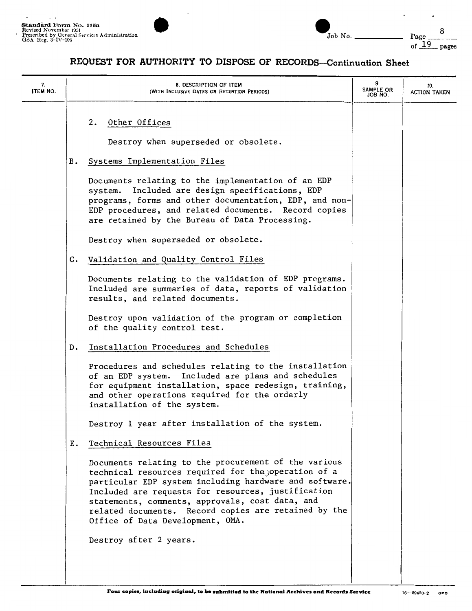

| Standard Form No. 115a<br>Revised November 1951<br>Prescribed by General Services Administration<br>GSA Reg. $3 - IV - 106$ |  | Job No. | Page<br>pages<br>ᆂ<br>Οf |
|-----------------------------------------------------------------------------------------------------------------------------|--|---------|--------------------------|
|-----------------------------------------------------------------------------------------------------------------------------|--|---------|--------------------------|

| 7.<br><b>ITEM NO.</b> | 8. DESCRIPTION OF ITEM<br>(WITH INCLUSIVE DATES OR RETENTION PERIODS)                                                                                                                                                                                                                                                                                                      | 9.<br>SAMPLE OR<br>JOB NO. | 10.<br><b>ACTION TAKEN</b> |
|-----------------------|----------------------------------------------------------------------------------------------------------------------------------------------------------------------------------------------------------------------------------------------------------------------------------------------------------------------------------------------------------------------------|----------------------------|----------------------------|
|                       | 2. Other Offices<br>Destroy when superseded or obsolete.                                                                                                                                                                                                                                                                                                                   |                            |                            |
|                       | Systems Implementation Files<br>В.                                                                                                                                                                                                                                                                                                                                         |                            |                            |
|                       | Documents relating to the implementation of an EDP<br>Included are design specifications, EDP<br>system.<br>programs, forms and other documentation, EDP, and non-<br>EDP procedures, and related documents. Record copies<br>are retained by the Bureau of Data Processing.                                                                                               |                            |                            |
|                       | Destroy when superseded or obsolete.                                                                                                                                                                                                                                                                                                                                       |                            |                            |
|                       | Validation and Quality Control Files<br>c.                                                                                                                                                                                                                                                                                                                                 |                            |                            |
|                       | Documents relating to the validation of EDP programs.<br>Included are summaries of data, reports of validation<br>results, and related documents.                                                                                                                                                                                                                          |                            |                            |
|                       | Destroy upon validation of the program or completion<br>of the quality control test.                                                                                                                                                                                                                                                                                       |                            |                            |
|                       | Installation Procedures and Schedules<br>D.                                                                                                                                                                                                                                                                                                                                |                            |                            |
|                       | Procedures and schedules relating to the installation<br>of an EDP system. Included are plans and schedules<br>for equipment installation, space redesign, training,<br>and other operations required for the orderly<br>installation of the system.                                                                                                                       |                            |                            |
|                       | Destroy 1 year after installation of the system.                                                                                                                                                                                                                                                                                                                           |                            |                            |
|                       | Technical Resources Files<br>Ε.                                                                                                                                                                                                                                                                                                                                            |                            |                            |
|                       | Documents relating to the procurement of the various<br>technical resources required for the operation of a<br>particular EDP system including hardware and software.<br>Included are requests for resources, justification<br>statements, comments, approvals, cost data, and<br>related documents. Record copies are retained by the<br>Office of Data Development, OMA. |                            |                            |
|                       | Destroy after 2 years.                                                                                                                                                                                                                                                                                                                                                     |                            |                            |
|                       |                                                                                                                                                                                                                                                                                                                                                                            |                            |                            |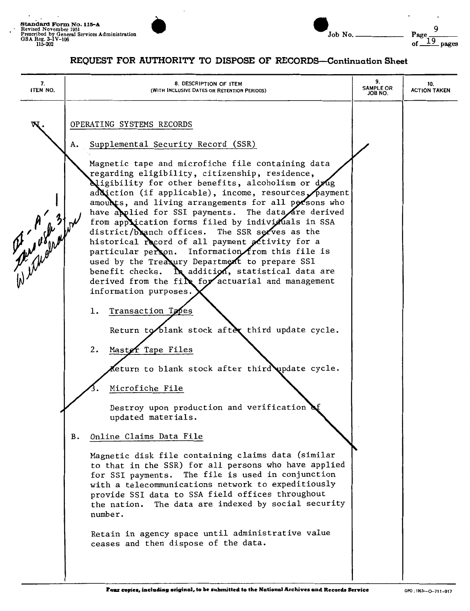

| Standard Form No. 115-A<br>Revised November 1951                              |                                             |  |        |                      |           |      |      |       |
|-------------------------------------------------------------------------------|---------------------------------------------|--|--------|----------------------|-----------|------|------|-------|
| Prescribed by General Services Administration<br>GSA Reg. 3-IV-106<br>115-202 |                                             |  | Job No |                      |           |      | Page | pages |
|                                                                               | DRAUDAM RAD IUMUADIMI MA DIADAAR AR PRAADDA |  | $\sim$ | $\ddot{\phantom{1}}$ | $\bullet$ | $-1$ |      |       |

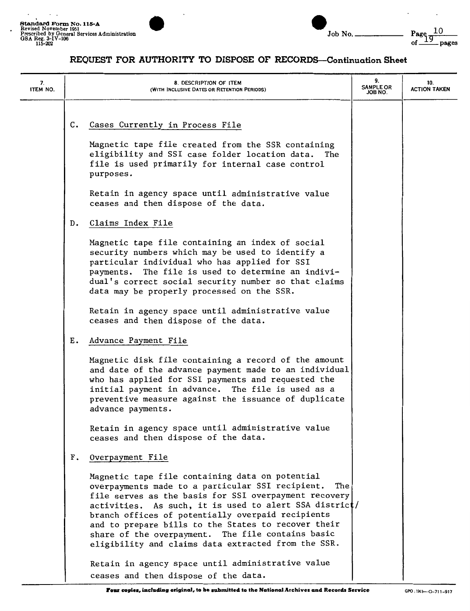

 $\ddot{\phantom{0}}$ 

 $\ddot{\phantom{0}}$ 

| 7.<br>ITEM NO. |    | 8. DESCRIPTION OF ITEM<br>(WITH INCLUSIVE DATES OR RETENTION PERIODS)                                                                                                                                                                                                                                                                                                                                                                                 | 9.<br><b>SAMPLE OR</b><br>JOB NO. | 10.<br><b>ACTION TAKEN</b> |
|----------------|----|-------------------------------------------------------------------------------------------------------------------------------------------------------------------------------------------------------------------------------------------------------------------------------------------------------------------------------------------------------------------------------------------------------------------------------------------------------|-----------------------------------|----------------------------|
|                | C. | Cases Currently in Process File                                                                                                                                                                                                                                                                                                                                                                                                                       |                                   |                            |
|                |    | Magnetic tape file created from the SSR containing<br>eligibility and SSI case folder location data.<br>The<br>file is used primarily for internal case control<br>purposes.                                                                                                                                                                                                                                                                          |                                   |                            |
|                |    | Retain in agency space until administrative value<br>ceases and then dispose of the data.                                                                                                                                                                                                                                                                                                                                                             |                                   |                            |
|                | D. | Claims Index File                                                                                                                                                                                                                                                                                                                                                                                                                                     |                                   |                            |
|                |    | Magnetic tape file containing an index of social<br>security numbers which may be used to identify a<br>particular individual who has applied for SSI<br>payments. The file is used to determine an indivi-<br>dual's correct social security number so that claims<br>data may be properly processed on the SSR.                                                                                                                                     |                                   |                            |
|                |    | Retain in agency space until administrative value<br>ceases and then dispose of the data.                                                                                                                                                                                                                                                                                                                                                             |                                   |                            |
|                | Е. | Advance Payment File                                                                                                                                                                                                                                                                                                                                                                                                                                  |                                   |                            |
|                |    | Magnetic disk file containing a record of the amount<br>and date of the advance payment made to an individual<br>who has applied for SSI payments and requested the<br>initial payment in advance. The file is used as a<br>preventive measure against the issuance of duplicate<br>advance payments.                                                                                                                                                 |                                   |                            |
|                |    | Retain in agency space until administrative value<br>ceases and then dispose of the data.                                                                                                                                                                                                                                                                                                                                                             |                                   |                            |
|                | F. | Overpayment File                                                                                                                                                                                                                                                                                                                                                                                                                                      |                                   |                            |
|                |    | Magnetic tape file containing data on potential<br>overpayments made to a particular SSI recipient.<br>The<br>file serves as the basis for SSI overpayment recovery<br>activities. As such, it is used to alert SSA district/<br>branch offices of potentially overpaid recipients<br>and to prepare bills to the States to recover their<br>share of the overpayment. The file contains basic<br>eligibility and claims data extracted from the SSR. |                                   |                            |
|                |    | Retain in agency space until administrative value<br>ceases and then dispose of the data.                                                                                                                                                                                                                                                                                                                                                             |                                   |                            |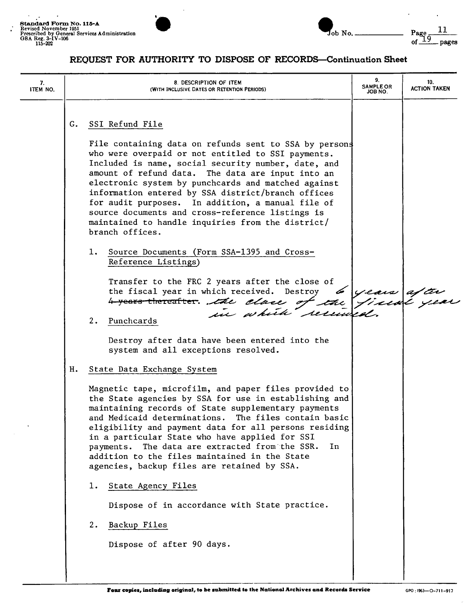

 $\mathbf{r}$ 

| G. SSI Refund File<br>File containing data on refunds sent to SSA by persons<br>who were overpaid or not entitled to SSI payments.<br>Included is name, social security number, date, and<br>amount of refund data. The data are input into an<br>electronic system by punchcards and matched against<br>information entered by SSA district/branch offices<br>for audit purposes. In addition, a manual file of<br>source documents and cross-reference listings is<br>maintained to handle inquiries from the district/<br>branch offices.<br>Source Documents (Form SSA-1395 and Cross-<br>ı.<br>Reference Listings)<br>Transfer to the FRC 2 years after the close of<br>the fiscal year in which received. Destroy 6 years after<br>4 years thereafter. the clase of the fiscal year<br>2.<br>Punchcards<br>Destroy after data have been entered into the<br>system and all exceptions resolved.<br>H. State Data Exchange System<br>Magnetic tape, microfilm, and paper files provided to<br>the State agencies by SSA for use in establishing and<br>maintaining records of State supplementary payments<br>The files contain basic<br>and Medicaid determinations.<br>eligibility and payment data for all persons residing<br>in a particular State who have applied for SSI<br>The data are extracted from the SSR.<br>In.<br>payments.<br>addition to the files maintained in the State<br>agencies, backup files are retained by SSA.<br>State Agency Files<br>ı.<br>Dispose of in accordance with State practice. | 7.<br><b>ITEM NO.</b> | 8. DESCRIPTION OF ITEM<br>(WITH INCLUSIVE DATES OR RETENTION PERIODS) | 9.<br><b>SAMPLE OR</b><br>JOB NO. | 10.<br><b>ACTION TAKEN</b> |
|--------------------------------------------------------------------------------------------------------------------------------------------------------------------------------------------------------------------------------------------------------------------------------------------------------------------------------------------------------------------------------------------------------------------------------------------------------------------------------------------------------------------------------------------------------------------------------------------------------------------------------------------------------------------------------------------------------------------------------------------------------------------------------------------------------------------------------------------------------------------------------------------------------------------------------------------------------------------------------------------------------------------------------------------------------------------------------------------------------------------------------------------------------------------------------------------------------------------------------------------------------------------------------------------------------------------------------------------------------------------------------------------------------------------------------------------------------------------------------------------------------------------------------|-----------------------|-----------------------------------------------------------------------|-----------------------------------|----------------------------|
| Backup Files<br>2.<br>Dispose of after 90 days.                                                                                                                                                                                                                                                                                                                                                                                                                                                                                                                                                                                                                                                                                                                                                                                                                                                                                                                                                                                                                                                                                                                                                                                                                                                                                                                                                                                                                                                                                |                       |                                                                       |                                   |                            |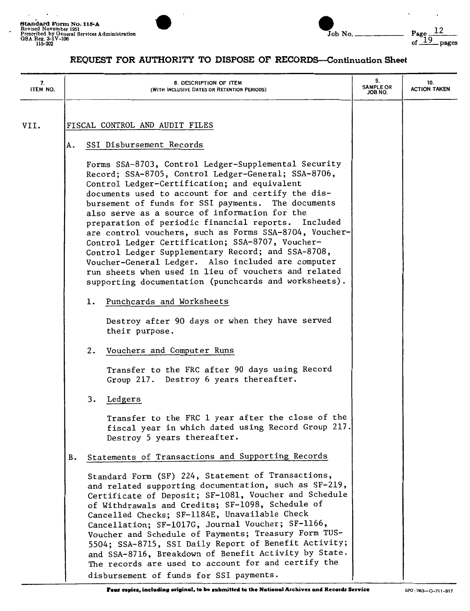



| 7.<br>ITEM NO. | 8. DESCRIPTION OF ITEM<br>(WITH INCLUSIVE DATES OR RETENTION PERIODS)                                                                                                                                                                                                                                                                                                                                                                                                                                                                                                                                                                                                                                                      | 9.<br><b>SAMPLE OR</b><br>ON 8OL | 10.<br><b>ACTION TAKEN</b> |
|----------------|----------------------------------------------------------------------------------------------------------------------------------------------------------------------------------------------------------------------------------------------------------------------------------------------------------------------------------------------------------------------------------------------------------------------------------------------------------------------------------------------------------------------------------------------------------------------------------------------------------------------------------------------------------------------------------------------------------------------------|----------------------------------|----------------------------|
| VII.           | FISCAL CONTROL AND AUDIT FILES<br>SSI Disbursement Records<br>Α.                                                                                                                                                                                                                                                                                                                                                                                                                                                                                                                                                                                                                                                           |                                  |                            |
|                | Forms SSA-8703, Control Ledger-Supplemental Security<br>Record; SSA-8705, Control Ledger-General; SSA-8706,<br>Control Ledger-Certification; and equivalent<br>documents used to account for and certify the dis-<br>bursement of funds for SSI payments. The documents<br>also serve as a source of information for the<br>preparation of periodic financial reports. Included<br>are control vouchers, such as Forms SSA-8704, Voucher-<br>Control Ledger Certification; SSA-8707, Voucher-<br>Control Ledger Supplementary Record; and SSA-8708,<br>Voucher-General Ledger. Also included are computer<br>run sheets when used in lieu of vouchers and related<br>supporting documentation (punchcards and worksheets). |                                  |                            |
|                | Punchcards and Worksheets<br>ı.<br>Destroy after 90 days or when they have served<br>their purpose.                                                                                                                                                                                                                                                                                                                                                                                                                                                                                                                                                                                                                        |                                  |                            |
|                | Vouchers and Computer Runs<br>2.<br>Transfer to the FRC after 90 days using Record<br>Group 217. Destroy 6 years thereafter.                                                                                                                                                                                                                                                                                                                                                                                                                                                                                                                                                                                               |                                  |                            |
|                | 3.<br>Ledgers<br>Transfer to the FRC 1 year after the close of the<br>fiscal year in which dated using Record Group 217.<br>Destroy 5 years thereafter.                                                                                                                                                                                                                                                                                                                                                                                                                                                                                                                                                                    |                                  |                            |
|                | Statements of Transactions and Supporting Records<br>в.<br>Standard Form (SF) 224, Statement of Transactions,<br>and related supporting documentation, such as SF-219,<br>Certificate of Deposit; SF-1081, Voucher and Schedule<br>of Withdrawals and Credits; SF-1098, Schedule of<br>Cancelled Checks; SF-1184E, Unavailable Check<br>Cancellation; SF-1017G, Journal Voucher; SF-1166,<br>Voucher and Schedule of Payments; Treasury Form TUS-<br>5504; SSA-8715, SSI Daily Report of Benefit Activity;<br>and SSA-8716, Breakdown of Benefit Activity by State.<br>The records are used to account for and certify the<br>disbursement of funds for SSI payments.                                                      |                                  |                            |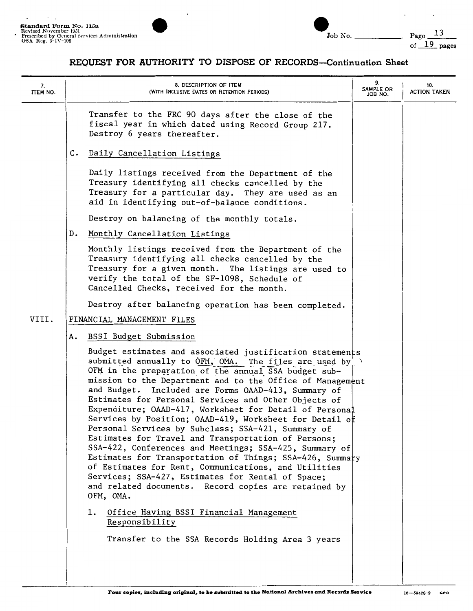

| Job | Λ. Λ |
|-----|------|

| 7.<br>ITEM NO. | 8. DESCRIPTION OF ITEM<br>(WITH INCLUSIVE DATES OR RETENTION PERIODS)                                                                                                                                                                                                                                                                                                                                                                                                                                                                                                                                                                                                                                                                                                                                                                                                                                                                             | 9.<br>SAMPLE OR<br>JOB NO. | 10.<br><b>ACTION TAKEN</b> |
|----------------|---------------------------------------------------------------------------------------------------------------------------------------------------------------------------------------------------------------------------------------------------------------------------------------------------------------------------------------------------------------------------------------------------------------------------------------------------------------------------------------------------------------------------------------------------------------------------------------------------------------------------------------------------------------------------------------------------------------------------------------------------------------------------------------------------------------------------------------------------------------------------------------------------------------------------------------------------|----------------------------|----------------------------|
|                | Transfer to the FRC 90 days after the close of the<br>fiscal year in which dated using Record Group 217.<br>Destroy 6 years thereafter.                                                                                                                                                                                                                                                                                                                                                                                                                                                                                                                                                                                                                                                                                                                                                                                                           |                            |                            |
|                | $\mathsf{c}$ .<br>Daily Cancellation Listings                                                                                                                                                                                                                                                                                                                                                                                                                                                                                                                                                                                                                                                                                                                                                                                                                                                                                                     |                            |                            |
|                | Daily listings received from the Department of the<br>Treasury identifying all checks cancelled by the<br>Treasury for a particular day. They are used as an<br>aid in identifying out-of-balance conditions.                                                                                                                                                                                                                                                                                                                                                                                                                                                                                                                                                                                                                                                                                                                                     |                            |                            |
|                | Destroy on balancing of the monthly totals.                                                                                                                                                                                                                                                                                                                                                                                                                                                                                                                                                                                                                                                                                                                                                                                                                                                                                                       |                            |                            |
|                | D.<br>Monthly Cancellation Listings                                                                                                                                                                                                                                                                                                                                                                                                                                                                                                                                                                                                                                                                                                                                                                                                                                                                                                               |                            |                            |
|                | Monthly listings received from the Department of the<br>Treasury identifying all checks cancelled by the<br>Treasury for a given month. The listings are used to<br>verify the total of the SF-1098, Schedule of<br>Cancelled Checks, received for the month.                                                                                                                                                                                                                                                                                                                                                                                                                                                                                                                                                                                                                                                                                     |                            |                            |
|                | Destroy after balancing operation has been completed.                                                                                                                                                                                                                                                                                                                                                                                                                                                                                                                                                                                                                                                                                                                                                                                                                                                                                             |                            |                            |
| VIII.          | FINANCIAL MANAGEMENT FILES                                                                                                                                                                                                                                                                                                                                                                                                                                                                                                                                                                                                                                                                                                                                                                                                                                                                                                                        |                            |                            |
|                | <b>BSSI Budget Submission</b><br>А.                                                                                                                                                                                                                                                                                                                                                                                                                                                                                                                                                                                                                                                                                                                                                                                                                                                                                                               |                            |                            |
|                | Budget estimates and associated justification statements<br>submitted annually to OFM, OMA. The files are used by<br>OFM in the preparation of the annual SSA budget sub-<br>mission to the Department and to the Office of Management<br>and Budget. Included are Forms OAAD-413, Summary of<br>Estimates for Personal Services and Other Objects of<br>Expenditure; OAAD-417, Worksheet for Detail of Personal<br>Services by Position; OAAD-419, Worksheet for Detail of<br>Personal Services by Subclass; SSA-421, Summary of<br>Estimates for Travel and Transportation of Persons;<br>SSA-422, Conferences and Meetings; SSA-425, Summary of<br>Estimates for Transportation of Things; SSA-426, Summary<br>of Estimates for Rent, Communications, and Utilities<br>Services; SSA-427, Estimates for Rental of Space;<br>and related documents. Record copies are retained by<br>OFM, OMA.<br>ı.<br>Office Having BSSI Financial Management |                            |                            |
|                | Responsibility<br>Transfer to the SSA Records Holding Area 3 years                                                                                                                                                                                                                                                                                                                                                                                                                                                                                                                                                                                                                                                                                                                                                                                                                                                                                |                            |                            |
|                |                                                                                                                                                                                                                                                                                                                                                                                                                                                                                                                                                                                                                                                                                                                                                                                                                                                                                                                                                   |                            |                            |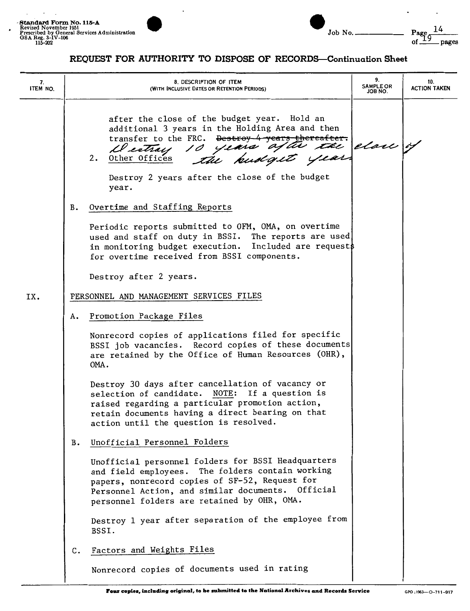

| 7.<br>ITEM NO. |    | 8. DESCRIPTION OF ITEM<br>(WITH INCLUSIVE DATES OR RETENTION PERIODS)                                                                                                                                                                                              | 9.<br><b>SAMPLE OR</b><br>JOB NO. | 10.<br><b>ACTION TAKEN</b> |
|----------------|----|--------------------------------------------------------------------------------------------------------------------------------------------------------------------------------------------------------------------------------------------------------------------|-----------------------------------|----------------------------|
|                |    | after the close of the budget year. Hold an<br>additional 3 years in the Holding Area and then<br>transfer to the FRC. Destroy 4 years thereafter.<br>Destray 10 years after the close of<br>2.<br>Other Offices                                                   |                                   |                            |
|                |    | Destroy 2 years after the close of the budget<br>year.                                                                                                                                                                                                             |                                   |                            |
|                | в. | Overtime and Staffing Reports                                                                                                                                                                                                                                      |                                   |                            |
|                |    | Periodic reports submitted to OFM, OMA, on overtime<br>used and staff on duty in BSSI. The reports are used<br>in monitoring budget execution. Included are request\$<br>for overtime received from BSSI components.                                               |                                   |                            |
|                |    | Destroy after 2 years.                                                                                                                                                                                                                                             |                                   |                            |
| IX.            |    | PERSONNEL AND MANAGEMENT SERVICES FILES                                                                                                                                                                                                                            |                                   |                            |
|                | А. | Promotion Package Files                                                                                                                                                                                                                                            |                                   |                            |
|                |    | Nonrecord copies of applications filed for specific<br>BSSI job vacancies. Record copies of these documents<br>are retained by the Office of Human Resources (OHR),<br>OMA.                                                                                        |                                   |                            |
|                |    | Destroy 30 days after cancellation of vacancy or<br>selection of candidate. NOTE: If a question is<br>raised regarding a particular promotion action,<br>retain documents having a direct bearing on that<br>action until the question is resolved.                |                                   |                            |
|                | в. | Unofficial Personnel Folders                                                                                                                                                                                                                                       |                                   |                            |
|                |    | Unofficial personnel folders for BSSI Headquarters<br>The folders contain working<br>and field employees.<br>papers, nonrecord copies of SF-52, Request for<br>Personnel Action, and similar documents.<br>Official<br>personnel folders are retained by OHR, OMA. |                                   |                            |
|                |    | Destroy 1 year after separation of the employee from<br>BSSI.                                                                                                                                                                                                      |                                   |                            |
|                | C. | Factors and Weights Files                                                                                                                                                                                                                                          |                                   |                            |
|                |    | Nonrecord copies of documents used in rating                                                                                                                                                                                                                       |                                   |                            |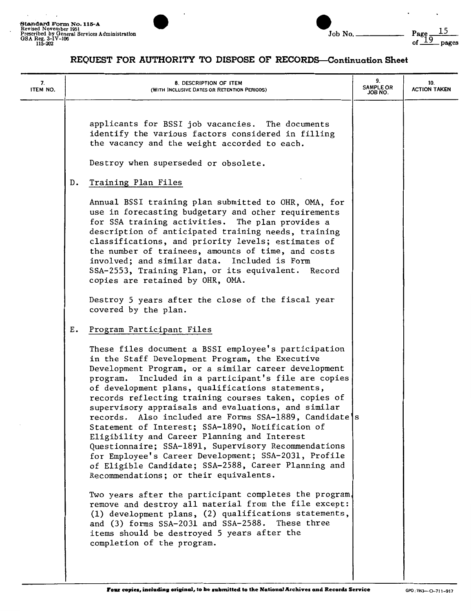



| 7.<br>ITEM NO. | 8. DESCRIPTION OF ITEM<br>(WITH INCLUSIVE DATES OR RETENTION PERIODS)                                                                                                                                                                                                                                                                                                                                                                                                                                                                                                                                                                                                                                                                                                      | 9.<br><b>SAMPLE OR</b><br>JOB NO. | 10.<br><b>ACTION TAKEN</b> |
|----------------|----------------------------------------------------------------------------------------------------------------------------------------------------------------------------------------------------------------------------------------------------------------------------------------------------------------------------------------------------------------------------------------------------------------------------------------------------------------------------------------------------------------------------------------------------------------------------------------------------------------------------------------------------------------------------------------------------------------------------------------------------------------------------|-----------------------------------|----------------------------|
|                | applicants for BSSI job vacancies. The documents<br>identify the various factors considered in filling<br>the vacancy and the weight accorded to each.                                                                                                                                                                                                                                                                                                                                                                                                                                                                                                                                                                                                                     |                                   |                            |
|                | Destroy when superseded or obsolete.                                                                                                                                                                                                                                                                                                                                                                                                                                                                                                                                                                                                                                                                                                                                       |                                   |                            |
|                | Training Plan Files<br>D.                                                                                                                                                                                                                                                                                                                                                                                                                                                                                                                                                                                                                                                                                                                                                  |                                   |                            |
|                | Annual BSSI training plan submitted to OHR, OMA, for<br>use in forecasting budgetary and other requirements<br>for SSA training activities. The plan provides a<br>description of anticipated training needs, training<br>classifications, and priority levels; estimates of<br>the number of trainees, amounts of time, and costs<br>involved; and similar data. Included is Form<br>SSA-2553, Training Plan, or its equivalent. Record<br>copies are retained by OHR, OMA.                                                                                                                                                                                                                                                                                               |                                   |                            |
|                | Destroy 5 years after the close of the fiscal year<br>covered by the plan.                                                                                                                                                                                                                                                                                                                                                                                                                                                                                                                                                                                                                                                                                                 |                                   |                            |
|                | Program Participant Files<br>Ε.                                                                                                                                                                                                                                                                                                                                                                                                                                                                                                                                                                                                                                                                                                                                            |                                   |                            |
|                | These files document a BSSI employee's participation<br>in the Staff Development Program, the Executive<br>Development Program, or a similar career development<br>program. Included in a participant's file are copies<br>of development plans, qualifications statements,<br>records reflecting training courses taken, copies of<br>supervisory appraisals and evaluations, and similar<br>records. Also included are Forms SSA-1889, Candidate s<br>Statement of Interest; SSA-1890, Notification of<br>Eligibility and Career Planning and Interest<br>Questionnaire; SSA-1891, Supervisory Recommendations<br>for Employee's Career Development; SSA-2031, Profile<br>of Eligible Candidate; SSA-2588, Career Planning and<br>Recommendations; or their equivalents. |                                   |                            |
|                | Two years after the participant completes the program.<br>remove and destroy all material from the file except:<br>(1) development plans, (2) qualifications statements,<br>and (3) forms SSA-2031 and SSA-2588. These three<br>items should be destroyed 5 years after the<br>completion of the program.                                                                                                                                                                                                                                                                                                                                                                                                                                                                  |                                   |                            |
|                |                                                                                                                                                                                                                                                                                                                                                                                                                                                                                                                                                                                                                                                                                                                                                                            |                                   |                            |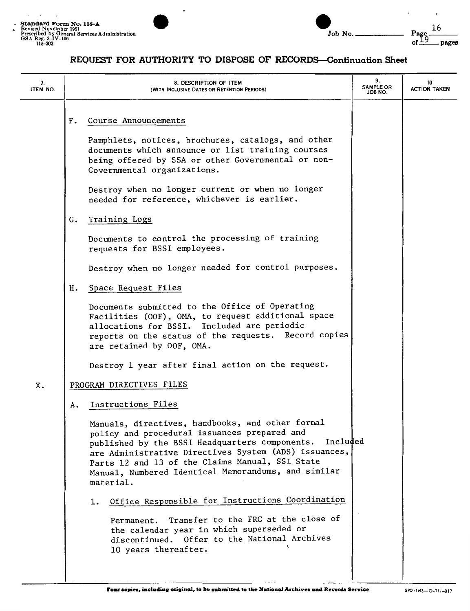



| 7.<br><b>ITEM NO.</b> | 8. DESCRIPTION OF ITEM<br>(WITH INCLUSIVE DATES OR RETENTION PERIODS)                                                                                                                                                                                                                                                                                                                                                                                                                                                                                                                                                                  | 9.<br><b>SAMPLE OR</b><br>ON 8OL | 10.<br><b>ACTION TAKEN</b> |
|-----------------------|----------------------------------------------------------------------------------------------------------------------------------------------------------------------------------------------------------------------------------------------------------------------------------------------------------------------------------------------------------------------------------------------------------------------------------------------------------------------------------------------------------------------------------------------------------------------------------------------------------------------------------------|----------------------------------|----------------------------|
|                       | Course Announcements<br>F.<br>Pamphlets, notices, brochures, catalogs, and other<br>documents which announce or list training courses<br>being offered by SSA or other Governmental or non-<br>Governmental organizations.<br>Destroy when no longer current or when no longer<br>needed for reference, whichever is earlier.                                                                                                                                                                                                                                                                                                          |                                  |                            |
|                       | Training Logs<br>G.<br>Documents to control the processing of training<br>requests for BSSI employees.<br>Destroy when no longer needed for control purposes.                                                                                                                                                                                                                                                                                                                                                                                                                                                                          |                                  |                            |
|                       | Space Request Files<br>н.<br>Documents submitted to the Office of Operating<br>Facilities (OOF), OMA, to request additional space<br>allocations for BSSI. Included are periodic<br>reports on the status of the requests. Record copies<br>are retained by OOF, OMA.<br>Destroy 1 year after final action on the request.                                                                                                                                                                                                                                                                                                             |                                  |                            |
| X.                    | PROGRAM DIRECTIVES FILES<br>Instructions Files<br>А.<br>Manuals, directives, handbooks, and other formal<br>policy and procedural issuances prepared and<br>published by the BSSI Headquarters components. Included<br>are Administrative Directives System (ADS) issuances,<br>Parts 12 and 13 of the Claims Manual, SSI State<br>Manual, Numbered Identical Memorandums, and similar<br>material.<br>Office Responsible for Instructions Coordination<br>ı.<br>Transfer to the FRC at the close of<br>Permanent.<br>the calendar year in which superseded or<br>discontinued. Offer to the National Archives<br>10 years thereafter. |                                  |                            |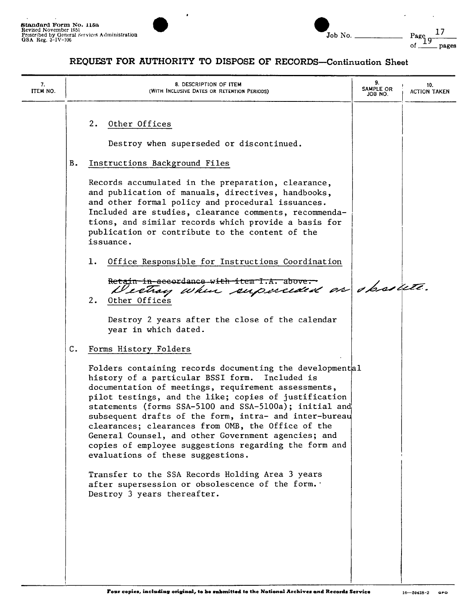

| Standard Form No. 115a<br>Revised November 1951<br>Prescribed by General Services Administration<br>GSA Reg. $3 - IV - 106$ | Job No | Page<br>pages |
|-----------------------------------------------------------------------------------------------------------------------------|--------|---------------|
|                                                                                                                             |        |               |

| 7.<br>ITEM NO. | 8. DESCRIPTION OF ITEM<br>(WITH INCLUSIVE DATES OR RETENTION PERIODS)                                                                                                                                                                                                                                                                                                                                                                                                                                                                                                                                                                           | 9.<br>SAMPLE OR<br>JOB NO. | 10.<br><b>ACTION TAKEN</b> |
|----------------|-------------------------------------------------------------------------------------------------------------------------------------------------------------------------------------------------------------------------------------------------------------------------------------------------------------------------------------------------------------------------------------------------------------------------------------------------------------------------------------------------------------------------------------------------------------------------------------------------------------------------------------------------|----------------------------|----------------------------|
|                | 2.<br>Other Offices<br>Destroy when superseded or discontinued.<br>В.<br>Instructions Background Files<br>Records accumulated in the preparation, clearance,<br>and publication of manuals, directives, handbooks,<br>and other formal policy and procedural issuances.<br>Included are studies, clearance comments, recommenda-<br>tions, and similar records which provide a basis for<br>publication or contribute to the content of the<br>issuance.<br>1.<br>Office Responsible for Instructions Coordination<br>Retain-in-accordance-with-item-I.A. above.<br>Westray when superceded on obsolute.                                        |                            |                            |
|                | Other Offices<br>2.<br>Destroy 2 years after the close of the calendar<br>year in which dated.                                                                                                                                                                                                                                                                                                                                                                                                                                                                                                                                                  |                            |                            |
|                | C.<br>Forms History Folders<br>Folders containing records documenting the developmental<br>history of a particular BSSI form.<br>Included is<br>documentation of meetings, requirement assessments,<br>pilot testings, and the like; copies of justification<br>statements (forms SSA-5100 and SSA-5100a); initial and<br>subsequent drafts of the form, intra- and inter-bureau<br>clearances; clearances from OMB, the Office of the<br>General Counsel, and other Government agencies; and<br>copies of employee suggestions regarding the form and<br>evaluations of these suggestions.<br>Transfer to the SSA Records Holding Area 3 years |                            |                            |
|                | after supersession or obsolescence of the form.<br>Destroy 3 years thereafter.                                                                                                                                                                                                                                                                                                                                                                                                                                                                                                                                                                  |                            |                            |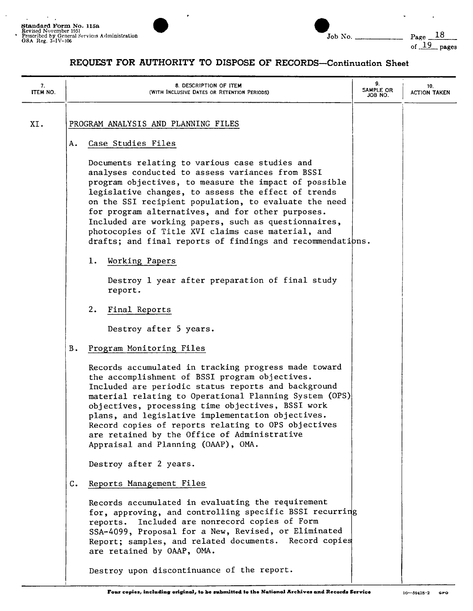

| Job No. |  |
|---------|--|

Page  $\frac{18}{\text{of } \frac{19}{\text{of } \frac{9}{\text{of}}}$  pages

| 7.<br>ITEM NO. |    | 8. DESCRIPTION OF ITEM<br>(WITH INCLUSIVE DATES OR RETENTION PERIODS)                                                                                                                                                                                                                                                                                                                                                                                                                                        | 9.<br>SAMPLE OR<br>JOB NO. | 10.<br><b>ACTION TAKEN</b> |
|----------------|----|--------------------------------------------------------------------------------------------------------------------------------------------------------------------------------------------------------------------------------------------------------------------------------------------------------------------------------------------------------------------------------------------------------------------------------------------------------------------------------------------------------------|----------------------------|----------------------------|
| XI.            | А. | PROGRAM ANALYSIS AND PLANNING FILES<br>Case Studies Files                                                                                                                                                                                                                                                                                                                                                                                                                                                    |                            |                            |
|                |    | Documents relating to various case studies and<br>analyses conducted to assess variances from BSSI<br>program objectives, to measure the impact of possible<br>legislative changes, to assess the effect of trends<br>on the SSI recipient population, to evaluate the need<br>for program alternatives, and for other purposes.<br>Included are working papers, such as questionnaires,<br>photocopies of Title XVI claims case material, and<br>drafts; and final reports of findings and recommendations. |                            |                            |
|                |    | 1.<br>Working Papers<br>Destroy 1 year after preparation of final study<br>report.<br>2.<br>Final Reports                                                                                                                                                                                                                                                                                                                                                                                                    |                            |                            |
|                |    | Destroy after 5 years.                                                                                                                                                                                                                                                                                                                                                                                                                                                                                       |                            |                            |
|                | В. | Program Monitoring Files                                                                                                                                                                                                                                                                                                                                                                                                                                                                                     |                            |                            |
|                |    | Records accumulated in tracking progress made toward<br>the accomplishment of BSSI program objectives.<br>Included are periodic status reports and background<br>material relating to Operational Planning System (OPS)<br>objectives, processing time objectives, BSSI work<br>plans, and legislative implementation objectives.<br>Record copies of reports relating to OPS objectives<br>are retained by the Office of Administrative<br>Appraisal and Planning (OAAP), OMA.                              |                            |                            |
|                |    | Destroy after 2 years.                                                                                                                                                                                                                                                                                                                                                                                                                                                                                       |                            |                            |
|                | c. | Reports Management Files                                                                                                                                                                                                                                                                                                                                                                                                                                                                                     |                            |                            |
|                |    | Records accumulated in evaluating the requirement<br>for, approving, and controlling specific BSSI recurring<br>reports. Included are nonrecord copies of Form<br>SSA-4099, Proposal for a New, Revised, or Eliminated<br>Report; samples, and related documents. Record copies<br>are retained by OAAP, OMA.                                                                                                                                                                                                |                            |                            |
|                |    | Destroy upon discontinuance of the report.                                                                                                                                                                                                                                                                                                                                                                                                                                                                   |                            |                            |